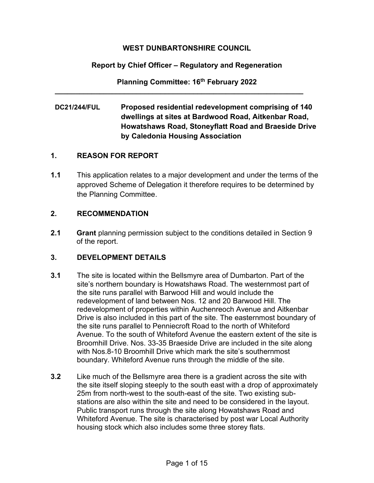### **WEST DUNBARTONSHIRE COUNCIL**

## **Report by Chief Officer – Regulatory and Regeneration**

**Planning Committee: 16th February 2022**

**\_\_\_\_\_\_\_\_\_\_\_\_\_\_\_\_\_\_\_\_\_\_\_\_\_\_\_\_\_\_\_\_\_\_\_\_\_\_\_\_\_\_\_\_\_\_\_\_\_\_\_\_\_\_\_\_\_\_\_\_\_** 

**DC21/244/FUL Proposed residential redevelopment comprising of 140 dwellings at sites at Bardwood Road, Aitkenbar Road, Howatshaws Road, Stoneyflatt Road and Braeside Drive by Caledonia Housing Association** 

### **1. REASON FOR REPORT**

**1.1** This application relates to a major development and under the terms of the approved Scheme of Delegation it therefore requires to be determined by the Planning Committee.

### **2. RECOMMENDATION**

**2.1 Grant** planning permission subject to the conditions detailed in Section 9 of the report.

## **3. DEVELOPMENT DETAILS**

- **3.1** The site is located within the Bellsmyre area of Dumbarton. Part of the site's northern boundary is Howatshaws Road. The westernmost part of the site runs parallel with Barwood Hill and would include the redevelopment of land between Nos. 12 and 20 Barwood Hill. The redevelopment of properties within Auchenreoch Avenue and Aitkenbar Drive is also included in this part of the site. The easternmost boundary of the site runs parallel to Penniecroft Road to the north of Whiteford Avenue. To the south of Whiteford Avenue the eastern extent of the site is Broomhill Drive. Nos. 33-35 Braeside Drive are included in the site along with Nos.8-10 Broomhill Drive which mark the site's southernmost boundary. Whiteford Avenue runs through the middle of the site.
- **3.2** Like much of the Bellsmyre area there is a gradient across the site with the site itself sloping steeply to the south east with a drop of approximately 25m from north-west to the south-east of the site. Two existing substations are also within the site and need to be considered in the layout. Public transport runs through the site along Howatshaws Road and Whiteford Avenue. The site is characterised by post war Local Authority housing stock which also includes some three storey flats.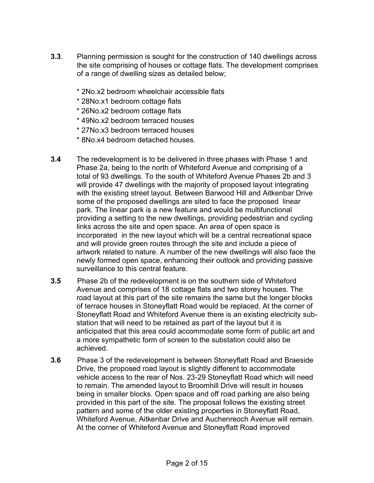- **3.3**. Planning permission is sought for the construction of 140 dwellings across the site comprising of houses or cottage flats. The development comprises of a range of dwelling sizes as detailed below;
	- \* 2No.x2 bedroom wheelchair accessible flats
	- \* 28No.x1 bedroom cottage flats
	- \* 26No.x2 bedroom cottage flats
	- \* 49No.x2 bedroom terraced houses
	- \* 27No.x3 bedroom terraced houses
	- \* 8No.x4 bedroom detached houses.
- **3.4** The redevelopment is to be delivered in three phases with Phase 1 and Phase 2a, being to the north of Whiteford Avenue and comprising of a total of 93 dwellings. To the south of Whiteford Avenue Phases 2b and 3 will provide 47 dwellings with the majority of proposed layout integrating with the existing street layout. Between Barwood Hill and Aitkenbar Drive some of the proposed dwellings are sited to face the proposed linear park. The linear park is a new feature and would be multifunctional providing a setting to the new dwellings, providing pedestrian and cycling links across the site and open space. An area of open space is incorporated in the new layout which will be a central recreational space and will provide green routes through the site and include a piece of artwork related to nature. A number of the new dwellings will also face the newly formed open space, enhancing their outlook and providing passive surveillance to this central feature.
- **3.5** Phase 2b of the redevelopment is on the southern side of Whiteford Avenue and comprises of 18 cottage flats and two storey houses. The road layout at this part of the site remains the same but the longer blocks of terrace houses in Stoneyflatt Road would be replaced. At the corner of Stoneyflatt Road and Whiteford Avenue there is an existing electricity substation that will need to be retained as part of the layout but it is anticipated that this area could accommodate some form of public art and a more sympathetic form of screen to the substation could also be achieved.
- **3.6** Phase 3 of the redevelopment is between Stoneyflatt Road and Braeside Drive, the proposed road layout is slightly different to accommodate vehicle access to the rear of Nos. 23-29 Stoneyflatt Road which will need to remain. The amended layout to Broomhill Drive will result in houses being in smaller blocks. Open space and off road parking are also being provided in this part of the site. The proposal follows the existing street pattern and some of the older existing properties in Stoneyflatt Road, Whiteford Avenue, Aitkenbar Drive and Auchenreoch Avenue will remain. At the corner of Whiteford Avenue and Stoneyflatt Road improved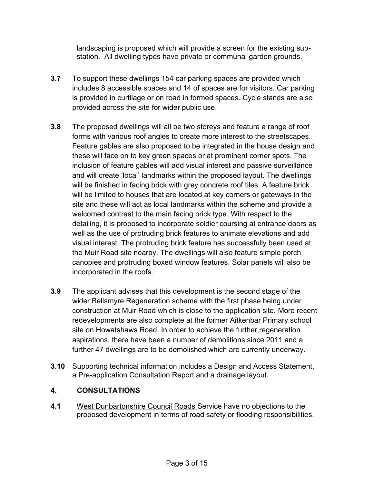landscaping is proposed which will provide a screen for the existing substation. All dwelling types have private or communal garden grounds.

- **3.7** To support these dwellings 154 car parking spaces are provided which includes 8 accessible spaces and 14 of spaces are for visitors. Car parking is provided in curtilage or on road in formed spaces. Cycle stands are also provided across the site for wider public use.
- **3.8** The proposed dwellings will all be two storeys and feature a range of roof forms with various roof angles to create more interest to the streetscapes. Feature gables are also proposed to be integrated in the house design and these will face on to key green spaces or at prominent corner spots. The inclusion of feature gables will add visual interest and passive surveillance and will create 'local' landmarks within the proposed layout. The dwellings will be finished in facing brick with grey concrete roof tiles. A feature brick will be limited to houses that are located at key corners or gateways in the site and these will act as local landmarks within the scheme and provide a welcomed contrast to the main facing brick type. With respect to the detailing, it is proposed to incorporate soldier coursing at entrance doors as well as the use of protruding brick features to animate elevations and add visual interest. The protruding brick feature has successfully been used at the Muir Road site nearby. The dwellings will also feature simple porch canopies and protruding boxed window features. Solar panels will also be incorporated in the roofs.
- **3.9** The applicant advises that this development is the second stage of the wider Bellsmyre Regeneration scheme with the first phase being under construction at Muir Road which is close to the application site. More recent redevelopments are also complete at the former Aitkenbar Primary school site on Howatshaws Road. In order to achieve the further regeneration aspirations, there have been a number of demolitions since 2011 and a further 47 dwellings are to be demolished which are currently underway.
- **3.10** Supporting technical information includes a Design and Access Statement, a Pre-application Consultation Report and a drainage layout.

## **4. CONSULTATIONS**

**4.1** West Dunbartonshire Council Roads Service have no objections to the proposed development in terms of road safety or flooding responsibilities.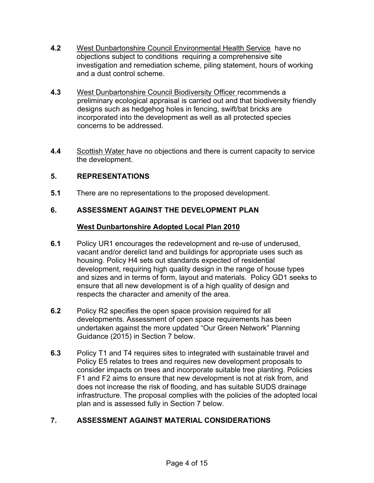- **4.2** West Dunbartonshire Council Environmental Health Service have no objections subject to conditions requiring a comprehensive site investigation and remediation scheme, piling statement, hours of working and a dust control scheme.
- **4.3** West Dunbartonshire Council Biodiversity Officer recommends a preliminary ecological appraisal is carried out and that biodiversity friendly designs such as hedgehog holes in fencing, swift/bat bricks are incorporated into the development as well as all protected species concerns to be addressed.
- **4.4** Scottish Water have no objections and there is current capacity to service the development.

# **5. REPRESENTATIONS**

**5.1** There are no representations to the proposed development.

## **6. ASSESSMENT AGAINST THE DEVELOPMENT PLAN**

#### **West Dunbartonshire Adopted Local Plan 2010**

- **6.1** Policy UR1 encourages the redevelopment and re-use of underused, vacant and/or derelict land and buildings for appropriate uses such as housing. Policy H4 sets out standards expected of residential development, requiring high quality design in the range of house types and sizes and in terms of form, layout and materials. Policy GD1 seeks to ensure that all new development is of a high quality of design and respects the character and amenity of the area.
- **6.2** Policy R2 specifies the open space provision required for all developments. Assessment of open space requirements has been undertaken against the more updated "Our Green Network" Planning Guidance (2015) in Section 7 below.
- **6.3** Policy T1 and T4 requires sites to integrated with sustainable travel and Policy E5 relates to trees and requires new development proposals to consider impacts on trees and incorporate suitable tree planting. Policies F1 and F2 aims to ensure that new development is not at risk from, and does not increase the risk of flooding, and has suitable SUDS drainage infrastructure. The proposal complies with the policies of the adopted local plan and is assessed fully in Section 7 below.

## **7. ASSESSMENT AGAINST MATERIAL CONSIDERATIONS**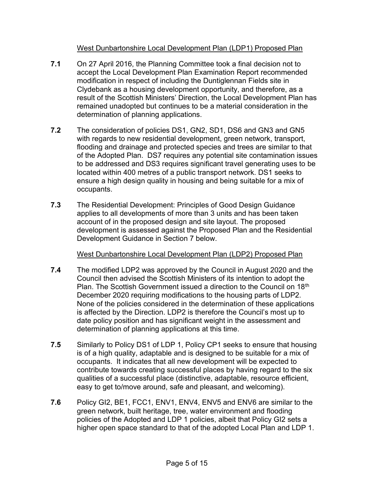### West Dunbartonshire Local Development Plan (LDP1) Proposed Plan

- **7.1** On 27 April 2016, the Planning Committee took a final decision not to accept the Local Development Plan Examination Report recommended modification in respect of including the Duntiglennan Fields site in Clydebank as a housing development opportunity, and therefore, as a result of the Scottish Ministers' Direction, the Local Development Plan has remained unadopted but continues to be a material consideration in the determination of planning applications.
- **7.2** The consideration of policies DS1, GN2, SD1, DS6 and GN3 and GN5 with regards to new residential development, green network, transport, flooding and drainage and protected species and trees are similar to that of the Adopted Plan. DS7 requires any potential site contamination issues to be addressed and DS3 requires significant travel generating uses to be located within 400 metres of a public transport network. DS1 seeks to ensure a high design quality in housing and being suitable for a mix of occupants.
- **7.3** The Residential Development: Principles of Good Design Guidance applies to all developments of more than 3 units and has been taken account of in the proposed design and site layout. The proposed development is assessed against the Proposed Plan and the Residential Development Guidance in Section 7 below.

#### West Dunbartonshire Local Development Plan (LDP2) Proposed Plan

- **7.4** The modified LDP2 was approved by the Council in August 2020 and the Council then advised the Scottish Ministers of its intention to adopt the Plan. The Scottish Government issued a direction to the Council on 18<sup>th</sup> December 2020 requiring modifications to the housing parts of LDP2. None of the policies considered in the determination of these applications is affected by the Direction. LDP2 is therefore the Council's most up to date policy position and has significant weight in the assessment and determination of planning applications at this time.
- **7.5** Similarly to Policy DS1 of LDP 1, Policy CP1 seeks to ensure that housing is of a high quality, adaptable and is designed to be suitable for a mix of occupants. It indicates that all new development will be expected to contribute towards creating successful places by having regard to the six qualities of a successful place (distinctive, adaptable, resource efficient, easy to get to/move around, safe and pleasant, and welcoming).
- **7.6** Policy GI2, BE1, FCC1, ENV1, ENV4, ENV5 and ENV6 are similar to the green network, built heritage, tree, water environment and flooding policies of the Adopted and LDP 1 policies, albeit that Policy GI2 sets a higher open space standard to that of the adopted Local Plan and LDP 1.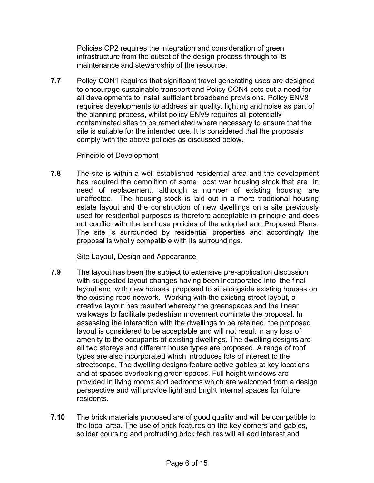Policies CP2 requires the integration and consideration of green infrastructure from the outset of the design process through to its maintenance and stewardship of the resource.

**7.7** Policy CON1 requires that significant travel generating uses are designed to encourage sustainable transport and Policy CON4 sets out a need for all developments to install sufficient broadband provisions. Policy ENV8 requires developments to address air quality, lighting and noise as part of the planning process, whilst policy ENV9 requires all potentially contaminated sites to be remediated where necessary to ensure that the site is suitable for the intended use. It is considered that the proposals comply with the above policies as discussed below.

#### Principle of Development

**7.8**The site is within a well established residential area and the development has required the demolition of some post war housing stock that are in need of replacement, although a number of existing housing are unaffected. The housing stock is laid out in a more traditional housing estate layout and the construction of new dwellings on a site previously used for residential purposes is therefore acceptable in principle and does not conflict with the land use policies of the adopted and Proposed Plans. The site is surrounded by residential properties and accordingly the proposal is wholly compatible with its surroundings.

#### Site Layout, Design and Appearance

- **7.9** The layout has been the subject to extensive pre-application discussion with suggested layout changes having been incorporated into the final layout and with new houses proposed to sit alongside existing houses on the existing road network. Working with the existing street layout, a creative layout has resulted whereby the greenspaces and the linear walkways to facilitate pedestrian movement dominate the proposal. In assessing the interaction with the dwellings to be retained, the proposed layout is considered to be acceptable and will not result in any loss of amenity to the occupants of existing dwellings. The dwelling designs are all two storeys and different house types are proposed. A range of roof types are also incorporated which introduces lots of interest to the streetscape. The dwelling designs feature active gables at key locations and at spaces overlooking green spaces. Full height windows are provided in living rooms and bedrooms which are welcomed from a design perspective and will provide light and bright internal spaces for future residents.
- **7.10** The brick materials proposed are of good quality and will be compatible to the local area. The use of brick features on the key corners and gables, solider coursing and protruding brick features will all add interest and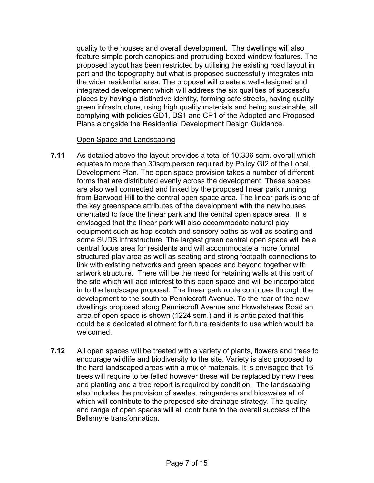quality to the houses and overall development. The dwellings will also feature simple porch canopies and protruding boxed window features. The proposed layout has been restricted by utilising the existing road layout in part and the topography but what is proposed successfully integrates into the wider residential area. The proposal will create a well-designed and integrated development which will address the six qualities of successful places by having a distinctive identity, forming safe streets, having quality green infrastructure, using high quality materials and being sustainable, all complying with policies GD1, DS1 and CP1 of the Adopted and Proposed Plans alongside the Residential Development Design Guidance.

#### Open Space and Landscaping

- **7.11** As detailed above the layout provides a total of 10.336 sqm. overall which equates to more than 30sqm.person required by Policy GI2 of the Local Development Plan. The open space provision takes a number of different forms that are distributed evenly across the development. These spaces are also well connected and linked by the proposed linear park running from Barwood Hill to the central open space area. The linear park is one of the key greenspace attributes of the development with the new houses orientated to face the linear park and the central open space area. It is envisaged that the linear park will also accommodate natural play equipment such as hop-scotch and sensory paths as well as seating and some SUDS infrastructure. The largest green central open space will be a central focus area for residents and will accommodate a more formal structured play area as well as seating and strong footpath connections to link with existing networks and green spaces and beyond together with artwork structure. There will be the need for retaining walls at this part of the site which will add interest to this open space and will be incorporated in to the landscape proposal. The linear park route continues through the development to the south to Penniecroft Avenue. To the rear of the new dwellings proposed along Penniecroft Avenue and Howatshaws Road an area of open space is shown (1224 sqm.) and it is anticipated that this could be a dedicated allotment for future residents to use which would be welcomed.
- **7.12** All open spaces will be treated with a variety of plants, flowers and trees to encourage wildlife and biodiversity to the site. Variety is also proposed to the hard landscaped areas with a mix of materials. It is envisaged that 16 trees will require to be felled however these will be replaced by new trees and planting and a tree report is required by condition. The landscaping also includes the provision of swales, raingardens and bioswales all of which will contribute to the proposed site drainage strategy. The quality and range of open spaces will all contribute to the overall success of the Bellsmyre transformation.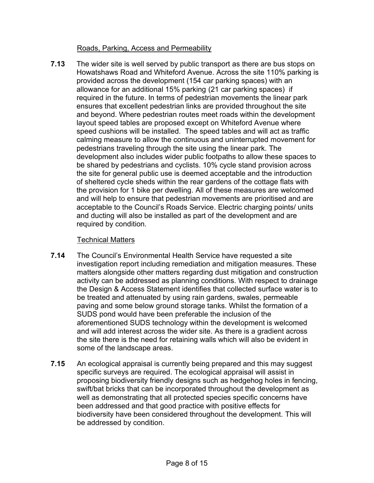### Roads, Parking, Access and Permeability

**7.13** The wider site is well served by public transport as there are bus stops on Howatshaws Road and Whiteford Avenue. Across the site 110% parking is provided across the development (154 car parking spaces) with an allowance for an additional 15% parking (21 car parking spaces) if required in the future. In terms of pedestrian movements the linear park ensures that excellent pedestrian links are provided throughout the site and beyond. Where pedestrian routes meet roads within the development layout speed tables are proposed except on Whiteford Avenue where speed cushions will be installed. The speed tables and will act as traffic calming measure to allow the continuous and uninterrupted movement for pedestrians traveling through the site using the linear park. The development also includes wider public footpaths to allow these spaces to be shared by pedestrians and cyclists. 10% cycle stand provision across the site for general public use is deemed acceptable and the introduction of sheltered cycle sheds within the rear gardens of the cottage flats with the provision for 1 bike per dwelling. All of these measures are welcomed and will help to ensure that pedestrian movements are prioritised and are acceptable to the Council's Roads Service. Electric charging points/ units and ducting will also be installed as part of the development and are required by condition.

### Technical Matters

- **7.14** The Council's Environmental Health Service have requested a site investigation report including remediation and mitigation measures. These matters alongside other matters regarding dust mitigation and construction activity can be addressed as planning conditions. With respect to drainage the Design & Access Statement identifies that collected surface water is to be treated and attenuated by using rain gardens, swales, permeable paving and some below ground storage tanks. Whilst the formation of a SUDS pond would have been preferable the inclusion of the aforementioned SUDS technology within the development is welcomed and will add interest across the wider site. As there is a gradient across the site there is the need for retaining walls which will also be evident in some of the landscape areas.
- **7.15** An ecological appraisal is currently being prepared and this may suggest specific surveys are required. The ecological appraisal will assist in proposing biodiversity friendly designs such as hedgehog holes in fencing, swift/bat bricks that can be incorporated throughout the development as well as demonstrating that all protected species specific concerns have been addressed and that good practice with positive effects for biodiversity have been considered throughout the development. This will be addressed by condition.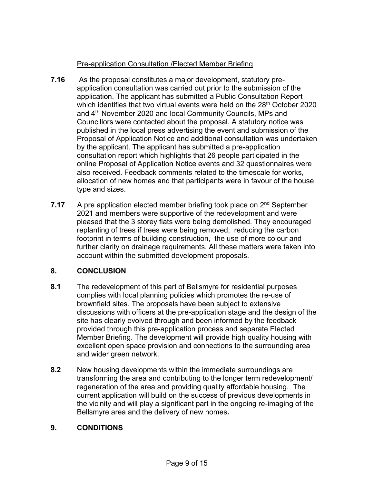## Pre-application Consultation /Elected Member Briefing

- **7.16** As the proposal constitutes a major development, statutory preapplication consultation was carried out prior to the submission of the application. The applicant has submitted a Public Consultation Report which identifies that two virtual events were held on the 28<sup>th</sup> October 2020 and 4<sup>th</sup> November 2020 and local Community Councils, MPs and Councillors were contacted about the proposal. A statutory notice was published in the local press advertising the event and submission of the Proposal of Application Notice and additional consultation was undertaken by the applicant. The applicant has submitted a pre-application consultation report which highlights that 26 people participated in the online Proposal of Application Notice events and 32 questionnaires were also received. Feedback comments related to the timescale for works, allocation of new homes and that participants were in favour of the house type and sizes.
- **7.17** A pre application elected member briefing took place on 2<sup>nd</sup> September 2021 and members were supportive of the redevelopment and were pleased that the 3 storey flats were being demolished. They encouraged replanting of trees if trees were being removed, reducing the carbon footprint in terms of building construction, the use of more colour and further clarity on drainage requirements. All these matters were taken into account within the submitted development proposals.

## **8. CONCLUSION**

- **8.1** The redevelopment of this part of Bellsmyre for residential purposes complies with local planning policies which promotes the re-use of brownfield sites. The proposals have been subject to extensive discussions with officers at the pre-application stage and the design of the site has clearly evolved through and been informed by the feedback provided through this pre-application process and separate Elected Member Briefing. The development will provide high quality housing with excellent open space provision and connections to the surrounding area and wider green network.
- **8.2** New housing developments within the immediate surroundings are transforming the area and contributing to the longer term redevelopment/ regeneration of the area and providing quality affordable housing. The current application will build on the success of previous developments in the vicinity and will play a significant part in the ongoing re-imaging of the Bellsmyre area and the delivery of new homes*.*

## **9. CONDITIONS**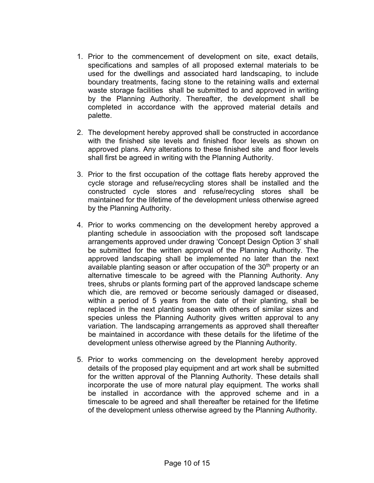- 1. Prior to the commencement of development on site, exact details, specifications and samples of all proposed external materials to be used for the dwellings and associated hard landscaping, to include boundary treatments, facing stone to the retaining walls and external waste storage facilities shall be submitted to and approved in writing by the Planning Authority. Thereafter, the development shall be completed in accordance with the approved material details and palette.
- 2. The development hereby approved shall be constructed in accordance with the finished site levels and finished floor levels as shown on approved plans. Any alterations to these finished site and floor levels shall first be agreed in writing with the Planning Authority.
- 3. Prior to the first occupation of the cottage flats hereby approved the cycle storage and refuse/recycling stores shall be installed and the constructed cycle stores and refuse/recycling stores shall be maintained for the lifetime of the development unless otherwise agreed by the Planning Authority.
- 4. Prior to works commencing on the development hereby approved a planting schedule in assoociation with the proposed soft landscape arrangements approved under drawing 'Concept Design Option 3' shall be submitted for the written approval of the Planning Authority. The approved landscaping shall be implemented no later than the next available planting season or after occupation of the  $30<sup>th</sup>$  property or an alternative timescale to be agreed with the Planning Authority. Any trees, shrubs or plants forming part of the approved landscape scheme which die, are removed or become seriously damaged or diseased, within a period of 5 years from the date of their planting, shall be replaced in the next planting season with others of similar sizes and species unless the Planning Authority gives written approval to any variation. The landscaping arrangements as approved shall thereafter be maintained in accordance with these details for the lifetime of the development unless otherwise agreed by the Planning Authority.
- 5. Prior to works commencing on the development hereby approved details of the proposed play equipment and art work shall be submitted for the written approval of the Planning Authority. These details shall incorporate the use of more natural play equipment. The works shall be installed in accordance with the approved scheme and in a timescale to be agreed and shall thereafter be retained for the lifetime of the development unless otherwise agreed by the Planning Authority.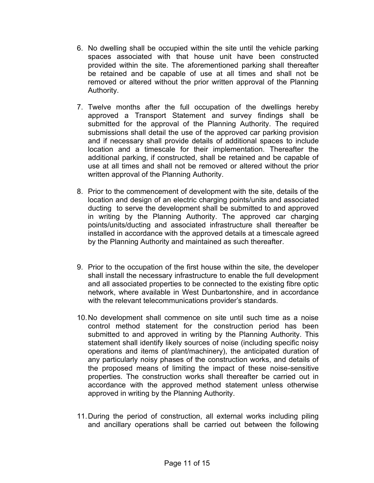- 6. No dwelling shall be occupied within the site until the vehicle parking spaces associated with that house unit have been constructed provided within the site. The aforementioned parking shall thereafter be retained and be capable of use at all times and shall not be removed or altered without the prior written approval of the Planning Authority.
- 7. Twelve months after the full occupation of the dwellings hereby approved a Transport Statement and survey findings shall be submitted for the approval of the Planning Authority. The required submissions shall detail the use of the approved car parking provision and if necessary shall provide details of additional spaces to include location and a timescale for their implementation. Thereafter the additional parking, if constructed, shall be retained and be capable of use at all times and shall not be removed or altered without the prior written approval of the Planning Authority.
- 8. Prior to the commencement of development with the site, details of the location and design of an electric charging points/units and associated ducting to serve the development shall be submitted to and approved in writing by the Planning Authority. The approved car charging points/units/ducting and associated infrastructure shall thereafter be installed in accordance with the approved details at a timescale agreed by the Planning Authority and maintained as such thereafter.
- 9. Prior to the occupation of the first house within the site, the developer shall install the necessary infrastructure to enable the full development and all associated properties to be connected to the existing fibre optic network, where available in West Dunbartonshire, and in accordance with the relevant telecommunications provider's standards.
- 10. No development shall commence on site until such time as a noise control method statement for the construction period has been submitted to and approved in writing by the Planning Authority. This statement shall identify likely sources of noise (including specific noisy operations and items of plant/machinery), the anticipated duration of any particularly noisy phases of the construction works, and details of the proposed means of limiting the impact of these noise-sensitive properties. The construction works shall thereafter be carried out in accordance with the approved method statement unless otherwise approved in writing by the Planning Authority.
- 11. During the period of construction, all external works including piling and ancillary operations shall be carried out between the following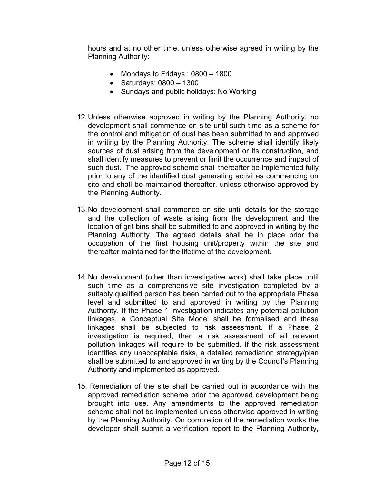hours and at no other time, unless otherwise agreed in writing by the Planning Authority:

- Mondays to Fridays : 0800 1800
- Saturdays: 0800 1300
- Sundays and public holidays: No Working
- 12. Unless otherwise approved in writing by the Planning Authority, no development shall commence on site until such time as a scheme for the control and mitigation of dust has been submitted to and approved in writing by the Planning Authority. The scheme shall identify likely sources of dust arising from the development or its construction, and shall identify measures to prevent or limit the occurrence and impact of such dust. The approved scheme shall thereafter be implemented fully prior to any of the identified dust generating activities commencing on site and shall be maintained thereafter, unless otherwise approved by the Planning Authority.
- 13. No development shall commence on site until details for the storage and the collection of waste arising from the development and the location of grit bins shall be submitted to and approved in writing by the Planning Authority. The agreed details shall be in place prior the occupation of the first housing unit/property within the site and thereafter maintained for the lifetime of the development.
- 14. No development (other than investigative work) shall take place until such time as a comprehensive site investigation completed by a suitably qualified person has been carried out to the appropriate Phase level and submitted to and approved in writing by the Planning Authority. If the Phase 1 investigation indicates any potential pollution linkages, a Conceptual Site Model shall be formalised and these linkages shall be subjected to risk assessment. If a Phase 2 investigation is required, then a risk assessment of all relevant pollution linkages will require to be submitted. If the risk assessment identifies any unacceptable risks, a detailed remediation strategy/plan shall be submitted to and approved in writing by the Council's Planning Authority and implemented as approved.
- 15. Remediation of the site shall be carried out in accordance with the approved remediation scheme prior the approved development being brought into use. Any amendments to the approved remediation scheme shall not be implemented unless otherwise approved in writing by the Planning Authority. On completion of the remediation works the developer shall submit a verification report to the Planning Authority,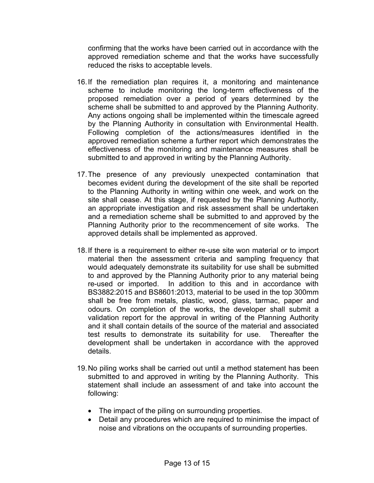confirming that the works have been carried out in accordance with the approved remediation scheme and that the works have successfully reduced the risks to acceptable levels.

- 16.If the remediation plan requires it, a monitoring and maintenance scheme to include monitoring the long-term effectiveness of the proposed remediation over a period of years determined by the scheme shall be submitted to and approved by the Planning Authority. Any actions ongoing shall be implemented within the timescale agreed by the Planning Authority in consultation with Environmental Health. Following completion of the actions/measures identified in the approved remediation scheme a further report which demonstrates the effectiveness of the monitoring and maintenance measures shall be submitted to and approved in writing by the Planning Authority.
- 17. The presence of any previously unexpected contamination that becomes evident during the development of the site shall be reported to the Planning Authority in writing within one week, and work on the site shall cease. At this stage, if requested by the Planning Authority, an appropriate investigation and risk assessment shall be undertaken and a remediation scheme shall be submitted to and approved by the Planning Authority prior to the recommencement of site works. The approved details shall be implemented as approved.
- 18. If there is a requirement to either re-use site won material or to import material then the assessment criteria and sampling frequency that would adequately demonstrate its suitability for use shall be submitted to and approved by the Planning Authority prior to any material being re-used or imported. In addition to this and in accordance with BS3882:2015 and BS8601:2013, material to be used in the top 300mm shall be free from metals, plastic, wood, glass, tarmac, paper and odours. On completion of the works, the developer shall submit a validation report for the approval in writing of the Planning Authority and it shall contain details of the source of the material and associated test results to demonstrate its suitability for use. Thereafter the development shall be undertaken in accordance with the approved details.
- 19. No piling works shall be carried out until a method statement has been submitted to and approved in writing by the Planning Authority. This statement shall include an assessment of and take into account the following:
	- The impact of the piling on surrounding properties.
	- Detail any procedures which are required to minimise the impact of noise and vibrations on the occupants of surrounding properties.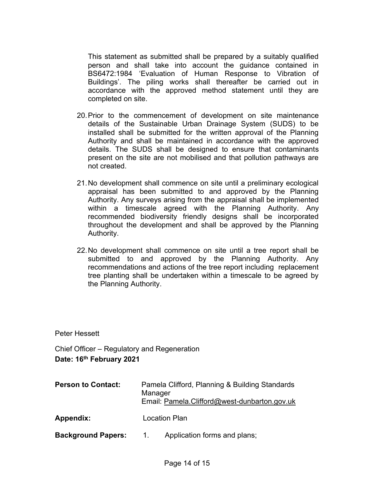This statement as submitted shall be prepared by a suitably qualified person and shall take into account the guidance contained in BS6472:1984 'Evaluation of Human Response to Vibration of Buildings'. The piling works shall thereafter be carried out in accordance with the approved method statement until they are completed on site.

- 20. Prior to the commencement of development on site maintenance details of the Sustainable Urban Drainage System (SUDS) to be installed shall be submitted for the written approval of the Planning Authority and shall be maintained in accordance with the approved details. The SUDS shall be designed to ensure that contaminants present on the site are not mobilised and that pollution pathways are not created.
- 21. No development shall commence on site until a preliminary ecological appraisal has been submitted to and approved by the Planning Authority. Any surveys arising from the appraisal shall be implemented within a timescale agreed with the Planning Authority. Any recommended biodiversity friendly designs shall be incorporated throughout the development and shall be approved by the Planning Authority.
- 22. No development shall commence on site until a tree report shall be submitted to and approved by the Planning Authority. Any recommendations and actions of the tree report including replacement tree planting shall be undertaken within a timescale to be agreed by the Planning Authority.

Peter Hessett

Chief Officer – Regulatory and Regeneration **Date: 16th February 2021** 

**Person to Contact:** Pamela Clifford, Planning & Building Standards Manager Email: [Pamela.Clifford@west-dunbarton.gov.uk](mailto:Pamela.Clifford@west-dunbarton.gov.uk)  **Appendix:** Location Plan **Background Papers:** 1. Application forms and plans;